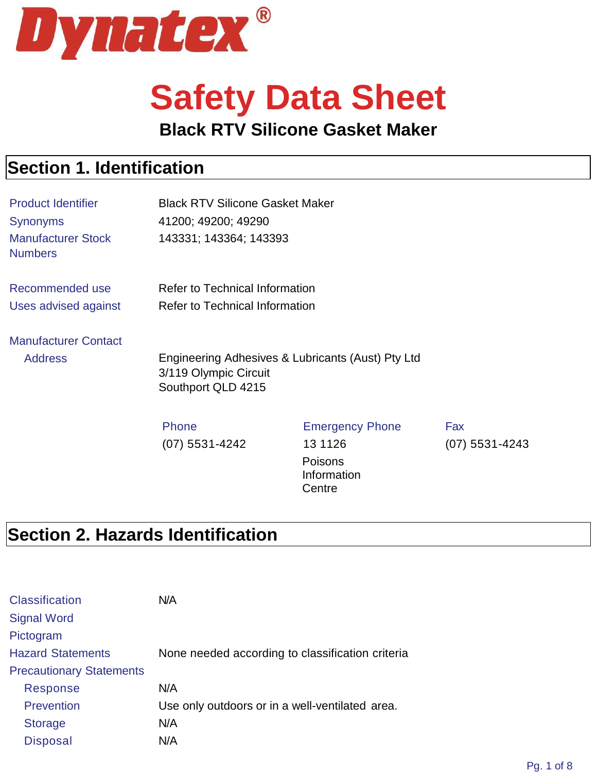

# **Safety Data Sheet**

#### **Black RTV Silicone Gasket Maker**

#### **Section 1. Identification**

| <b>Product Identifier</b><br><b>Synonyms</b><br><b>Manufacturer Stock</b><br><b>Numbers</b> | <b>Black RTV Silicone Gasket Maker</b><br>41200; 49200; 49290<br>143331; 143364; 143393          |                                                                        |                         |
|---------------------------------------------------------------------------------------------|--------------------------------------------------------------------------------------------------|------------------------------------------------------------------------|-------------------------|
| Recommended use<br>Uses advised against                                                     | <b>Refer to Technical Information</b><br><b>Refer to Technical Information</b>                   |                                                                        |                         |
| <b>Manufacturer Contact</b><br><b>Address</b>                                               | Engineering Adhesives & Lubricants (Aust) Pty Ltd<br>3/119 Olympic Circuit<br>Southport QLD 4215 |                                                                        |                         |
|                                                                                             | <b>Phone</b><br>$(07)$ 5531-4242                                                                 | <b>Emergency Phone</b><br>13 11 26<br>Poisons<br>Information<br>Centre | Fax<br>$(07)$ 5531-4243 |

#### **Section 2. Hazards Identification**

| <b>Classification</b>           | N/A                                              |
|---------------------------------|--------------------------------------------------|
| <b>Signal Word</b>              |                                                  |
| Pictogram                       |                                                  |
| <b>Hazard Statements</b>        | None needed according to classification criteria |
| <b>Precautionary Statements</b> |                                                  |
| <b>Response</b>                 | N/A                                              |
| <b>Prevention</b>               | Use only outdoors or in a well-ventilated area.  |
| <b>Storage</b>                  | N/A                                              |
| <b>Disposal</b>                 | N/A                                              |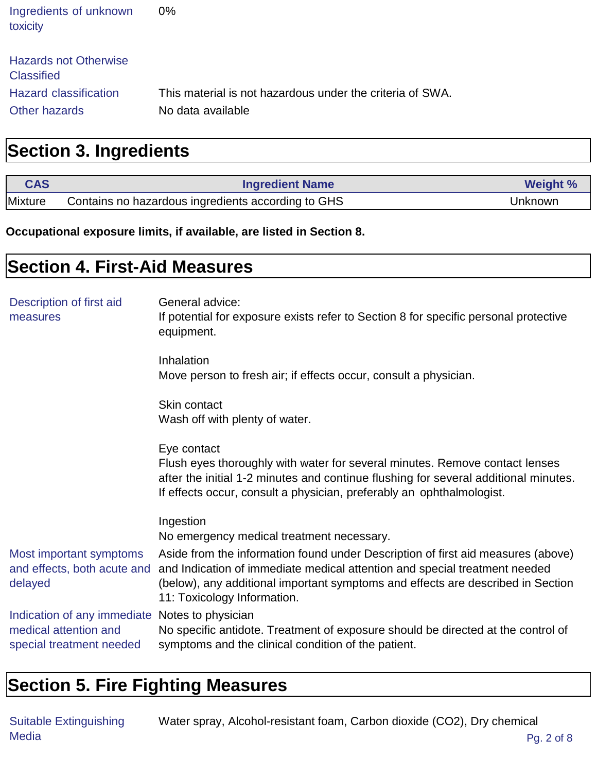| Ingredients of unknown<br>toxicity                                                                 | 0%                                                                             |
|----------------------------------------------------------------------------------------------------|--------------------------------------------------------------------------------|
| <b>Hazards not Otherwise</b><br><b>Classified</b><br><b>Hazard classification</b><br>Other hazards | This material is not hazardous under the criteria of SWA.<br>No data available |

### **Section 3. Ingredients**

| <b>CAS</b> | <b>Ingredient Name</b>                             | <b>Weight %</b> |
|------------|----------------------------------------------------|-----------------|
| Mixture    | Contains no hazardous ingredients according to GHS | Unknown         |

**Occupational exposure limits, if available, are listed in Section 8.**

| <b>Section 4. First-Aid Measures</b>                                                                |                                                                                                                                                                                                                                                                                                             |
|-----------------------------------------------------------------------------------------------------|-------------------------------------------------------------------------------------------------------------------------------------------------------------------------------------------------------------------------------------------------------------------------------------------------------------|
| Description of first aid<br>measures                                                                | General advice:<br>If potential for exposure exists refer to Section 8 for specific personal protective<br>equipment.                                                                                                                                                                                       |
|                                                                                                     | Inhalation<br>Move person to fresh air; if effects occur, consult a physician.                                                                                                                                                                                                                              |
|                                                                                                     | Skin contact<br>Wash off with plenty of water.                                                                                                                                                                                                                                                              |
|                                                                                                     | Eye contact<br>Flush eyes thoroughly with water for several minutes. Remove contact lenses<br>after the initial 1-2 minutes and continue flushing for several additional minutes.<br>If effects occur, consult a physician, preferably an ophthalmologist.                                                  |
| Most important symptoms<br>and effects, both acute and<br>delayed                                   | Ingestion<br>No emergency medical treatment necessary.<br>Aside from the information found under Description of first aid measures (above)<br>and Indication of immediate medical attention and special treatment needed<br>(below), any additional important symptoms and effects are described in Section |
| Indication of any immediate Notes to physician<br>medical attention and<br>special treatment needed | 11: Toxicology Information.<br>No specific antidote. Treatment of exposure should be directed at the control of<br>symptoms and the clinical condition of the patient.                                                                                                                                      |

#### **Section 5. Fire Fighting Measures**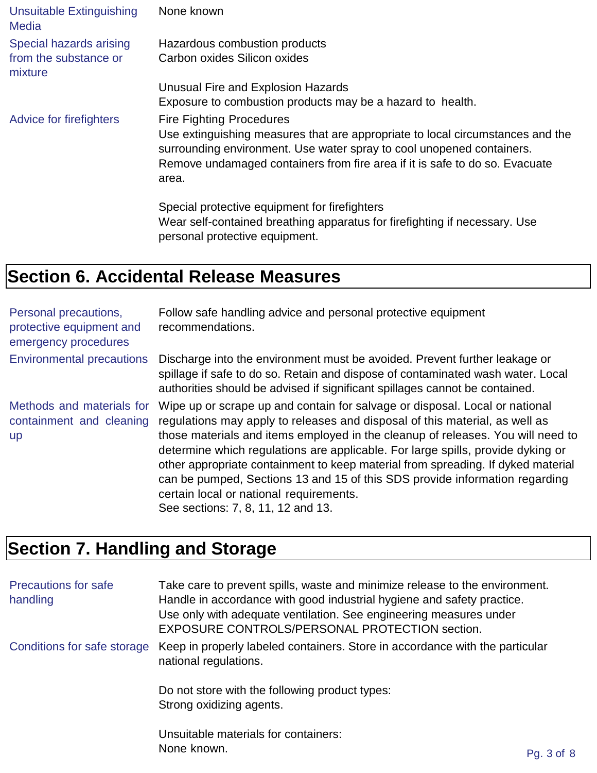| <b>Unsuitable Extinguishing</b><br><b>Media</b>             | None known                                                                                                                                                                                                                                                                         |
|-------------------------------------------------------------|------------------------------------------------------------------------------------------------------------------------------------------------------------------------------------------------------------------------------------------------------------------------------------|
| Special hazards arising<br>from the substance or<br>mixture | Hazardous combustion products<br>Carbon oxides Silicon oxides                                                                                                                                                                                                                      |
|                                                             | Unusual Fire and Explosion Hazards                                                                                                                                                                                                                                                 |
|                                                             | Exposure to combustion products may be a hazard to health.                                                                                                                                                                                                                         |
| Advice for firefighters                                     | <b>Fire Fighting Procedures</b><br>Use extinguishing measures that are appropriate to local circumstances and the<br>surrounding environment. Use water spray to cool unopened containers.<br>Remove undamaged containers from fire area if it is safe to do so. Evacuate<br>area. |
|                                                             | Special protective equipment for firefighters<br>Wear self-contained breathing apparatus for firefighting if necessary. Use<br>personal protective equipment.                                                                                                                      |

## **Section 6. Accidental Release Measures**

| Personal precautions,<br>protective equipment and<br>emergency procedures | Follow safe handling advice and personal protective equipment<br>recommendations.                                                                                                                                                                                                                                                                                                                                                                                                                                                                                                    |
|---------------------------------------------------------------------------|--------------------------------------------------------------------------------------------------------------------------------------------------------------------------------------------------------------------------------------------------------------------------------------------------------------------------------------------------------------------------------------------------------------------------------------------------------------------------------------------------------------------------------------------------------------------------------------|
| <b>Environmental precautions</b>                                          | Discharge into the environment must be avoided. Prevent further leakage or<br>spillage if safe to do so. Retain and dispose of contaminated wash water. Local<br>authorities should be advised if significant spillages cannot be contained.                                                                                                                                                                                                                                                                                                                                         |
| Methods and materials for<br>containment and cleaning<br><b>up</b>        | Wipe up or scrape up and contain for salvage or disposal. Local or national<br>regulations may apply to releases and disposal of this material, as well as<br>those materials and items employed in the cleanup of releases. You will need to<br>determine which regulations are applicable. For large spills, provide dyking or<br>other appropriate containment to keep material from spreading. If dyked material<br>can be pumped, Sections 13 and 15 of this SDS provide information regarding<br>certain local or national requirements.<br>See sections: 7, 8, 11, 12 and 13. |

## **Section 7. Handling and Storage**

| <b>Precautions for safe</b><br>handling | Take care to prevent spills, waste and minimize release to the environment.<br>Handle in accordance with good industrial hygiene and safety practice.<br>Use only with adequate ventilation. See engineering measures under<br>EXPOSURE CONTROLS/PERSONAL PROTECTION section. |            |
|-----------------------------------------|-------------------------------------------------------------------------------------------------------------------------------------------------------------------------------------------------------------------------------------------------------------------------------|------------|
| Conditions for safe storage             | Keep in properly labeled containers. Store in accordance with the particular<br>national regulations.                                                                                                                                                                         |            |
|                                         | Do not store with the following product types:<br>Strong oxidizing agents.                                                                                                                                                                                                    |            |
|                                         | Unsuitable materials for containers:<br>None known.                                                                                                                                                                                                                           | Pg. 3 of 8 |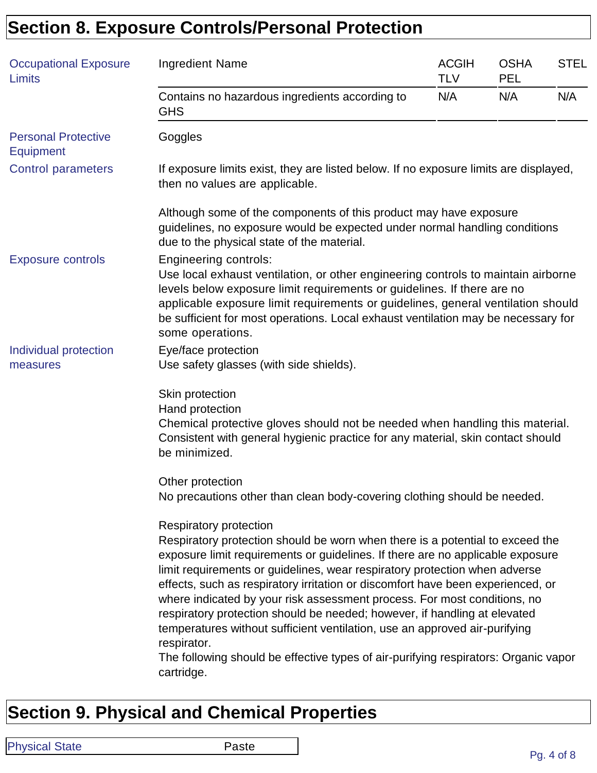## **Section 8. Exposure Controls/Personal Protection**

| <b>Occupational Exposure</b><br>Limits         | <b>Ingredient Name</b>                                                                                                                                                                                                                                                                                                                                                                                                                                                                                                                                                                                                                                                                                                | <b>ACGIH</b><br><b>TLV</b> | <b>OSHA</b><br><b>PEL</b> | <b>STEL</b> |
|------------------------------------------------|-----------------------------------------------------------------------------------------------------------------------------------------------------------------------------------------------------------------------------------------------------------------------------------------------------------------------------------------------------------------------------------------------------------------------------------------------------------------------------------------------------------------------------------------------------------------------------------------------------------------------------------------------------------------------------------------------------------------------|----------------------------|---------------------------|-------------|
|                                                | Contains no hazardous ingredients according to<br><b>GHS</b>                                                                                                                                                                                                                                                                                                                                                                                                                                                                                                                                                                                                                                                          | N/A                        | N/A                       | N/A         |
| <b>Personal Protective</b><br><b>Equipment</b> | Goggles                                                                                                                                                                                                                                                                                                                                                                                                                                                                                                                                                                                                                                                                                                               |                            |                           |             |
| <b>Control parameters</b>                      | If exposure limits exist, they are listed below. If no exposure limits are displayed,<br>then no values are applicable.                                                                                                                                                                                                                                                                                                                                                                                                                                                                                                                                                                                               |                            |                           |             |
|                                                | Although some of the components of this product may have exposure<br>guidelines, no exposure would be expected under normal handling conditions<br>due to the physical state of the material.                                                                                                                                                                                                                                                                                                                                                                                                                                                                                                                         |                            |                           |             |
| <b>Exposure controls</b>                       | <b>Engineering controls:</b><br>Use local exhaust ventilation, or other engineering controls to maintain airborne<br>levels below exposure limit requirements or guidelines. If there are no<br>applicable exposure limit requirements or guidelines, general ventilation should<br>be sufficient for most operations. Local exhaust ventilation may be necessary for<br>some operations.                                                                                                                                                                                                                                                                                                                             |                            |                           |             |
| Individual protection<br>measures              | Eye/face protection<br>Use safety glasses (with side shields).                                                                                                                                                                                                                                                                                                                                                                                                                                                                                                                                                                                                                                                        |                            |                           |             |
|                                                | Skin protection<br>Hand protection<br>Chemical protective gloves should not be needed when handling this material.<br>Consistent with general hygienic practice for any material, skin contact should<br>be minimized.                                                                                                                                                                                                                                                                                                                                                                                                                                                                                                |                            |                           |             |
|                                                | Other protection<br>No precautions other than clean body-covering clothing should be needed.                                                                                                                                                                                                                                                                                                                                                                                                                                                                                                                                                                                                                          |                            |                           |             |
|                                                | Respiratory protection<br>Respiratory protection should be worn when there is a potential to exceed the<br>exposure limit requirements or guidelines. If there are no applicable exposure<br>limit requirements or guidelines, wear respiratory protection when adverse<br>effects, such as respiratory irritation or discomfort have been experienced, or<br>where indicated by your risk assessment process. For most conditions, no<br>respiratory protection should be needed; however, if handling at elevated<br>temperatures without sufficient ventilation, use an approved air-purifying<br>respirator.<br>The following should be effective types of air-purifying respirators: Organic vapor<br>cartridge. |                            |                           |             |

## **Section 9. Physical and Chemical Properties**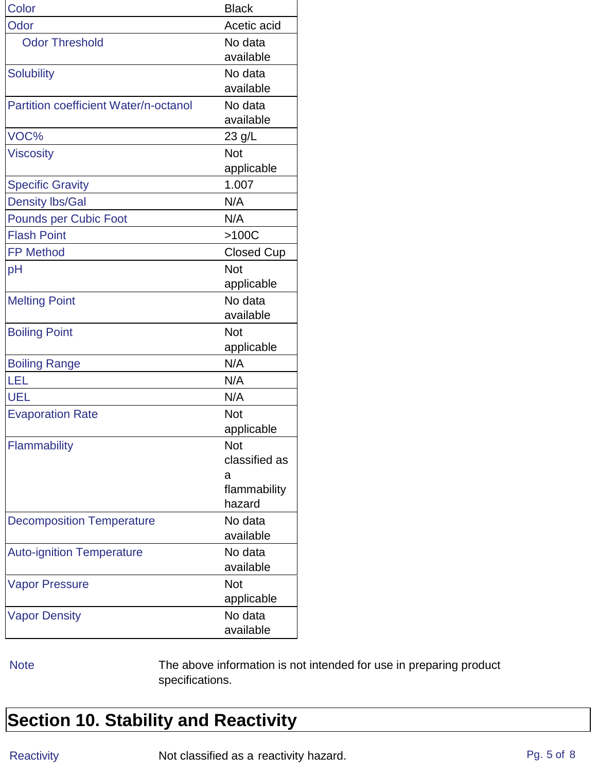| Color                                 | <b>Black</b>      |
|---------------------------------------|-------------------|
| Odor                                  | Acetic acid       |
| <b>Odor Threshold</b>                 | No data           |
|                                       | available         |
| <b>Solubility</b>                     | No data           |
|                                       | available         |
| Partition coefficient Water/n-octanol | No data           |
|                                       | available         |
| VOC%                                  | 23 g/L            |
| <b>Viscosity</b>                      | <b>Not</b>        |
|                                       | applicable        |
| <b>Specific Gravity</b>               | 1.007             |
| <b>Density lbs/Gal</b>                | N/A               |
| <b>Pounds per Cubic Foot</b>          | N/A               |
| <b>Flash Point</b>                    | >100C             |
| <b>FP Method</b>                      | <b>Closed Cup</b> |
| pH                                    | Not               |
|                                       | applicable        |
| <b>Melting Point</b>                  | No data           |
|                                       | available         |
| <b>Boiling Point</b>                  | Not               |
|                                       | applicable        |
| <b>Boiling Range</b>                  | N/A               |
| LEL                                   | N/A               |
| <b>UEL</b>                            | N/A               |
| <b>Evaporation Rate</b>               | Not               |
|                                       | applicable        |
| Flammability                          | Not               |
|                                       | classified as     |
|                                       | a                 |
|                                       | flammability      |
|                                       | hazard            |
| <b>Decomposition Temperature</b>      | No data           |
|                                       | available         |
| <b>Auto-ignition Temperature</b>      | No data           |
|                                       | available         |
| <b>Vapor Pressure</b>                 | <b>Not</b>        |
|                                       | applicable        |
| <b>Vapor Density</b>                  | No data           |
|                                       | available         |

Note The above information is not intended for use in preparing product specifications.

#### **Section 10. Stability and Reactivity**

Reactivity **Not classified as a reactivity hazard.** Pg. 5 of 8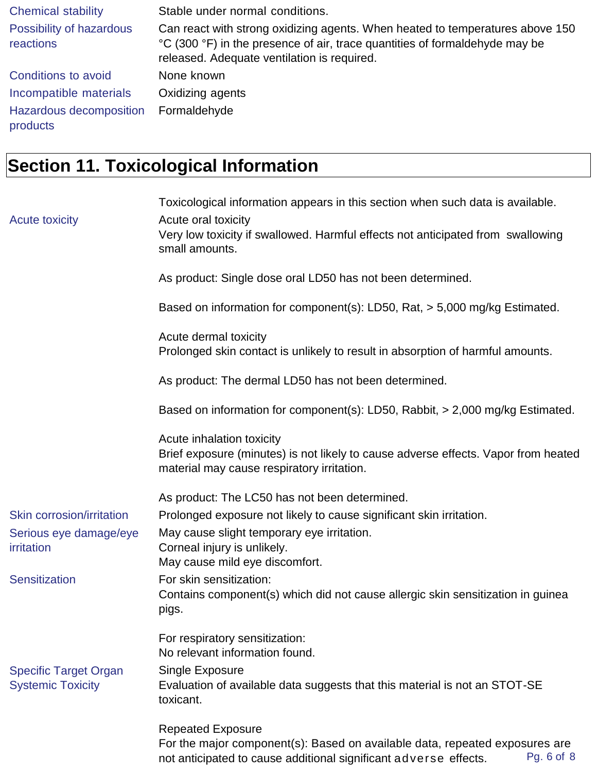| <b>Chemical stability</b>             | Stable under normal conditions.                                                                                                                                                                             |
|---------------------------------------|-------------------------------------------------------------------------------------------------------------------------------------------------------------------------------------------------------------|
| Possibility of hazardous<br>reactions | Can react with strong oxidizing agents. When heated to temperatures above 150<br>°C (300 °F) in the presence of air, trace quantities of formaldehyde may be<br>released. Adequate ventilation is required. |
| Conditions to avoid                   | None known                                                                                                                                                                                                  |
| Incompatible materials                | Oxidizing agents                                                                                                                                                                                            |
| Hazardous decomposition<br>products   | Formaldehyde                                                                                                                                                                                                |

## **Section 11. Toxicological Information**

|                              | Toxicological information appears in this section when such data is available.                                                   |
|------------------------------|----------------------------------------------------------------------------------------------------------------------------------|
| <b>Acute toxicity</b>        | Acute oral toxicity<br>Very low toxicity if swallowed. Harmful effects not anticipated from swallowing                           |
|                              | small amounts.                                                                                                                   |
|                              | As product: Single dose oral LD50 has not been determined.                                                                       |
|                              | Based on information for component(s): LD50, Rat, > 5,000 mg/kg Estimated.                                                       |
|                              | Acute dermal toxicity<br>Prolonged skin contact is unlikely to result in absorption of harmful amounts.                          |
|                              | As product: The dermal LD50 has not been determined.                                                                             |
|                              | Based on information for component(s): LD50, Rabbit, > 2,000 mg/kg Estimated.                                                    |
|                              | Acute inhalation toxicity                                                                                                        |
|                              | Brief exposure (minutes) is not likely to cause adverse effects. Vapor from heated<br>material may cause respiratory irritation. |
|                              | As product: The LC50 has not been determined.                                                                                    |
| Skin corrosion/irritation    | Prolonged exposure not likely to cause significant skin irritation.                                                              |
| Serious eye damage/eye       | May cause slight temporary eye irritation.                                                                                       |
| irritation                   | Corneal injury is unlikely.<br>May cause mild eye discomfort.                                                                    |
| <b>Sensitization</b>         | For skin sensitization:                                                                                                          |
|                              | Contains component(s) which did not cause allergic skin sensitization in guinea<br>pigs.                                         |
|                              | For respiratory sensitization:<br>No relevant information found.                                                                 |
| <b>Specific Target Organ</b> | Single Exposure                                                                                                                  |
| <b>Systemic Toxicity</b>     | Evaluation of available data suggests that this material is not an STOT-SE<br>toxicant.                                          |
|                              | <b>Repeated Exposure</b>                                                                                                         |
|                              | For the major component(s): Based on available data, repeated exposures are                                                      |
|                              | Pg. 6 of 8<br>not anticipated to cause additional significant adverse effects.                                                   |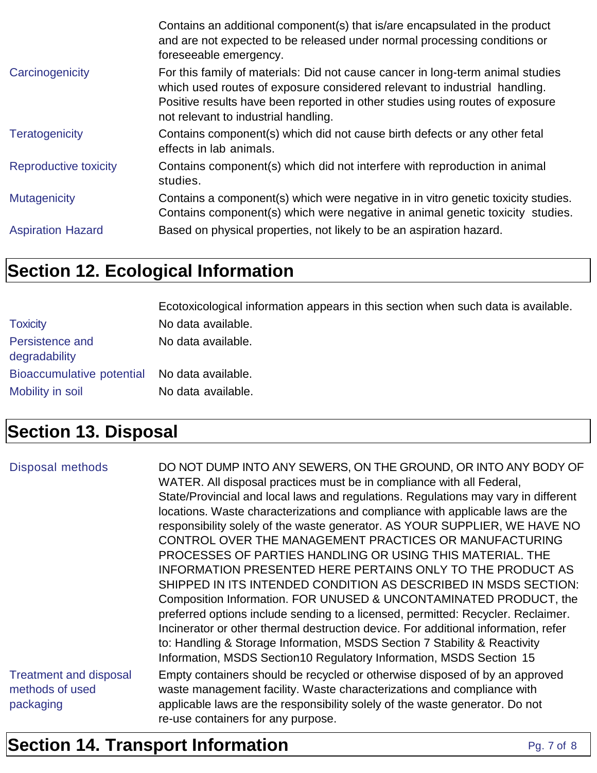|                          | Contains an additional component(s) that is/are encapsulated in the product<br>and are not expected to be released under normal processing conditions or<br>foreseeable emergency.                                                                                                   |
|--------------------------|--------------------------------------------------------------------------------------------------------------------------------------------------------------------------------------------------------------------------------------------------------------------------------------|
| Carcinogenicity          | For this family of materials: Did not cause cancer in long-term animal studies<br>which used routes of exposure considered relevant to industrial handling.<br>Positive results have been reported in other studies using routes of exposure<br>not relevant to industrial handling. |
| <b>Teratogenicity</b>    | Contains component(s) which did not cause birth defects or any other fetal<br>effects in lab animals.                                                                                                                                                                                |
| Reproductive toxicity    | Contains component(s) which did not interfere with reproduction in animal<br>studies.                                                                                                                                                                                                |
| <b>Mutagenicity</b>      | Contains a component(s) which were negative in in vitro genetic toxicity studies.<br>Contains component(s) which were negative in animal genetic toxicity studies.                                                                                                                   |
| <b>Aspiration Hazard</b> | Based on physical properties, not likely to be an aspiration hazard.                                                                                                                                                                                                                 |

### **Section 12. Ecological Information**

|                                              | Ecotoxicological information appears in this section when such data is available. |
|----------------------------------------------|-----------------------------------------------------------------------------------|
| <b>Toxicity</b>                              | No data available.                                                                |
| Persistence and<br>degradability             | No data available.                                                                |
| Bioaccumulative potential No data available. |                                                                                   |
| Mobility in soil                             | No data available.                                                                |

### **Section 13. Disposal**

| <b>Disposal methods</b>                                       | DO NOT DUMP INTO ANY SEWERS, ON THE GROUND, OR INTO ANY BODY OF<br>WATER. All disposal practices must be in compliance with all Federal,<br>State/Provincial and local laws and regulations. Regulations may vary in different<br>locations. Waste characterizations and compliance with applicable laws are the<br>responsibility solely of the waste generator. AS YOUR SUPPLIER, WE HAVE NO<br>CONTROL OVER THE MANAGEMENT PRACTICES OR MANUFACTURING<br>PROCESSES OF PARTIES HANDLING OR USING THIS MATERIAL. THE<br>INFORMATION PRESENTED HERE PERTAINS ONLY TO THE PRODUCT AS<br>SHIPPED IN ITS INTENDED CONDITION AS DESCRIBED IN MSDS SECTION:<br>Composition Information. FOR UNUSED & UNCONTAMINATED PRODUCT, the<br>preferred options include sending to a licensed, permitted: Recycler. Reclaimer.<br>Incinerator or other thermal destruction device. For additional information, refer<br>to: Handling & Storage Information, MSDS Section 7 Stability & Reactivity<br>Information, MSDS Section 10 Regulatory Information, MSDS Section 15 |
|---------------------------------------------------------------|------------------------------------------------------------------------------------------------------------------------------------------------------------------------------------------------------------------------------------------------------------------------------------------------------------------------------------------------------------------------------------------------------------------------------------------------------------------------------------------------------------------------------------------------------------------------------------------------------------------------------------------------------------------------------------------------------------------------------------------------------------------------------------------------------------------------------------------------------------------------------------------------------------------------------------------------------------------------------------------------------------------------------------------------------------|
| <b>Treatment and disposal</b><br>methods of used<br>packaging | Empty containers should be recycled or otherwise disposed of by an approved<br>waste management facility. Waste characterizations and compliance with<br>applicable laws are the responsibility solely of the waste generator. Do not<br>re-use containers for any purpose.                                                                                                                                                                                                                                                                                                                                                                                                                                                                                                                                                                                                                                                                                                                                                                                |

### **Section 14. Transport Information** Pg. 7 of 8